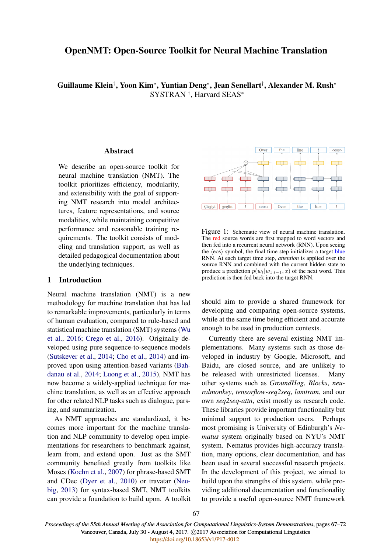# OpenNMT: Open-Source Toolkit for Neural Machine Translation

Guillaume Klein†, Yoon Kim\*, Yuntian Deng\*, Jean Senellart†, Alexander M. Rush\* SYSTRAN † , Harvard SEAS<sup>∗</sup>

# Abstract

We describe an open-source toolkit for neural machine translation (NMT). The toolkit prioritizes efficiency, modularity, and extensibility with the goal of supporting NMT research into model architectures, feature representations, and source modalities, while maintaining competitive performance and reasonable training requirements. The toolkit consists of modeling and translation support, as well as detailed pedagogical documentation about the underlying techniques.

# 1 Introduction

Neural machine translation (NMT) is a new methodology for machine translation that has led to remarkable improvements, particularly in terms of human evaluation, compared to rule-based and statistical machine translation (SMT) systems (Wu et al., 2016; Crego et al., 2016). Originally developed using pure sequence-to-sequence models (Sutskever et al., 2014; Cho et al., 2014) and improved upon using attention-based variants (Bahdanau et al., 2014; Luong et al., 2015), NMT has now become a widely-applied technique for machine translation, as well as an effective approach for other related NLP tasks such as dialogue, parsing, and summarization.

As NMT approaches are standardized, it becomes more important for the machine translation and NLP community to develop open implementations for researchers to benchmark against, learn from, and extend upon. Just as the SMT community benefited greatly from toolkits like Moses (Koehn et al., 2007) for phrase-based SMT and CDec (Dyer et al., 2010) or travatar (Neubig, 2013) for syntax-based SMT, NMT toolkits can provide a foundation to build upon. A toolkit



Figure 1: Schematic view of neural machine translation. The red source words are first mapped to word vectors and then fed into a recurrent neural network (RNN). Upon seeing the  $\langle \cos \rangle$  symbol, the final time step initializes a target blue RNN. At each target time step, *attention* is applied over the source RNN and combined with the current hidden state to produce a prediction  $p(w_t|w_{1:t-1}, x)$  of the next word. This prediction is then fed back into the target RNN.

should aim to provide a shared framework for developing and comparing open-source systems, while at the same time being efficient and accurate enough to be used in production contexts.

Currently there are several existing NMT implementations. Many systems such as those developed in industry by Google, Microsoft, and Baidu, are closed source, and are unlikely to be released with unrestricted licenses. Many other systems such as *GroundHog*, *Blocks*, *neuralmonkey*, *tensorflow-seq2seq*, *lamtram*, and our own *seq2seq-attn*, exist mostly as research code. These libraries provide important functionality but minimal support to production users. Perhaps most promising is University of Edinburgh's *Nematus* system originally based on NYU's NMT system. Nematus provides high-accuracy translation, many options, clear documentation, and has been used in several successful research projects. In the development of this project, we aimed to build upon the strengths of this system, while providing additional documentation and functionality to provide a useful open-source NMT framework

*Proceedings of the 55th Annual Meeting of the Association for Computational Linguistics-System Demonstrations*, pages 67–72 Vancouver, Canada, July 30 - August 4, 2017. @2017 Association for Computational Linguistics <https://doi.org/10.18653/v1/P17-4012>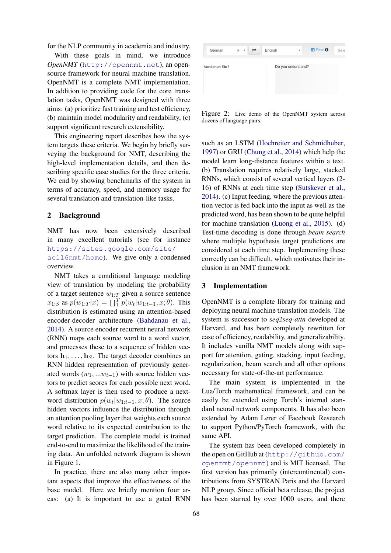for the NLP community in academia and industry.

With these goals in mind, we introduce *OpenNMT* (http://opennmt.net), an opensource framework for neural machine translation. OpenNMT is a complete NMT implementation. In addition to providing code for the core translation tasks, OpenNMT was designed with three aims: (a) prioritize fast training and test efficiency, (b) maintain model modularity and readability, (c) support significant research extensibility.

This engineering report describes how the system targets these criteria. We begin by briefly surveying the background for NMT, describing the high-level implementation details, and then describing specific case studies for the three criteria. We end by showing benchmarks of the system in terms of accuracy, speed, and memory usage for several translation and translation-like tasks.

# 2 Background

NMT has now been extensively described in many excellent tutorials (see for instance https://sites.google.com/site/ acl16nmt/home). We give only a condensed overview.

NMT takes a conditional language modeling view of translation by modeling the probability of a target sentence  $w_{1:T}$  given a source sentence  $x_{1:S}$  as  $p(w_{1:T}|x) = \prod_{1}^{T} p(w_t|w_{1:t-1}, x; \theta)$ . This distribution is estimated using an attention-based encoder-decoder architecture (Bahdanau et al., 2014). A source encoder recurrent neural network (RNN) maps each source word to a word vector, and processes these to a sequence of hidden vectors  $h_1, \ldots, h_s$ . The target decoder combines an RNN hidden representation of previously generated words  $(w_1, ... w_{t-1})$  with source hidden vectors to predict scores for each possible next word. A softmax layer is then used to produce a nextword distribution  $p(w_t|w_{1:t-1}, x; \theta)$ . The source hidden vectors influence the distribution through an attention pooling layer that weights each source word relative to its expected contribution to the target prediction. The complete model is trained end-to-end to maximize the likelihood of the training data. An unfolded network diagram is shown in Figure 1.

In practice, there are also many other important aspects that improve the effectiveness of the base model. Here we briefly mention four areas: (a) It is important to use a gated RNN

| German         | ⇄<br>×<br>$\boldsymbol{\mathrm{v}}$ | English | $\mathbf{v}$       | <b>D</b> Filter <b>O</b> | Sele |
|----------------|-------------------------------------|---------|--------------------|--------------------------|------|
| Verstehen Sie? |                                     |         | Do you understand? |                          |      |
|                |                                     |         |                    |                          |      |

Figure 2: Live demo of the OpenNMT system across dozens of language pairs.

such as an LSTM (Hochreiter and Schmidhuber, 1997) or GRU (Chung et al., 2014) which help the model learn long-distance features within a text. (b) Translation requires relatively large, stacked RNNs, which consist of several vertical layers (2- 16) of RNNs at each time step (Sutskever et al., 2014). (c) Input feeding, where the previous attention vector is fed back into the input as well as the predicted word, has been shown to be quite helpful for machine translation (Luong et al., 2015). (d) Test-time decoding is done through *beam search* where multiple hypothesis target predictions are considered at each time step. Implementing these correctly can be difficult, which motivates their inclusion in an NMT framework.

# 3 Implementation

OpenNMT is a complete library for training and deploying neural machine translation models. The system is successor to *seq2seq-attn* developed at Harvard, and has been completely rewritten for ease of efficiency, readability, and generalizability. It includes vanilla NMT models along with support for attention, gating, stacking, input feeding, regularization, beam search and all other options necessary for state-of-the-art performance.

The main system is implemented in the Lua/Torch mathematical framework, and can be easily be extended using Torch's internal standard neural network components. It has also been extended by Adam Lerer of Facebook Research to support Python/PyTorch framework, with the same API.

The system has been developed completely in the open on GitHub at (http://github.com/ opennmt/opennmt) and is MIT licensed. The first version has primarily (intercontinental) contributions from SYSTRAN Paris and the Harvard NLP group. Since official beta release, the project has been starred by over 1000 users, and there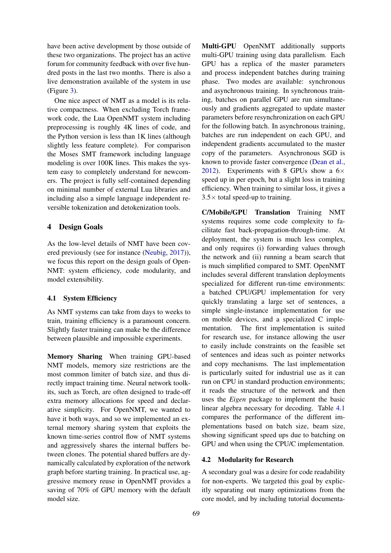have been active development by those outside of these two organizations. The project has an active forum for community feedback with over five hundred posts in the last two months. There is also a live demonstration available of the system in use (Figure 3).

One nice aspect of NMT as a model is its relative compactness. When excluding Torch framework code, the Lua OpenNMT system including preprocessing is roughly 4K lines of code, and the Python version is less than 1K lines (although slightly less feature complete). For comparison the Moses SMT framework including language modeling is over 100K lines. This makes the system easy to completely understand for newcomers. The project is fully self-contained depending on minimal number of external Lua libraries and including also a simple language independent reversible tokenization and detokenization tools.

# 4 Design Goals

As the low-level details of NMT have been covered previously (see for instance (Neubig, 2017)), we focus this report on the design goals of Open-NMT: system efficiency, code modularity, and model extensibility.

# 4.1 System Efficiency

As NMT systems can take from days to weeks to train, training efficiency is a paramount concern. Slightly faster training can make be the difference between plausible and impossible experiments.

Memory Sharing When training GPU-based NMT models, memory size restrictions are the most common limiter of batch size, and thus directly impact training time. Neural network toolkits, such as Torch, are often designed to trade-off extra memory allocations for speed and declarative simplicity. For OpenNMT, we wanted to have it both ways, and so we implemented an external memory sharing system that exploits the known time-series control flow of NMT systems and aggressively shares the internal buffers between clones. The potential shared buffers are dynamically calculated by exploration of the network graph before starting training. In practical use, aggressive memory reuse in OpenNMT provides a saving of 70% of GPU memory with the default model size.

Multi-GPU OpenNMT additionally supports multi-GPU training using data parallelism. Each GPU has a replica of the master parameters and process independent batches during training phase. Two modes are available: synchronous and asynchronous training. In synchronous training, batches on parallel GPU are run simultaneously and gradients aggregated to update master parameters before resynchronization on each GPU for the following batch. In asynchronous training, batches are run independent on each GPU, and independent gradients accumulated to the master copy of the parameters. Asynchronous SGD is known to provide faster convergence (Dean et al., 2012). Experiments with 8 GPUs show a  $6\times$ speed up in per epoch, but a slight loss in training efficiency. When training to similar loss, it gives a  $3.5\times$  total speed-up to training.

C/Mobile/GPU Translation Training NMT systems requires some code complexity to facilitate fast back-propagation-through-time. At deployment, the system is much less complex, and only requires (i) forwarding values through the network and (ii) running a beam search that is much simplified compared to SMT. OpenNMT includes several different translation deployments specialized for different run-time environments: a batched CPU/GPU implementation for very quickly translating a large set of sentences, a simple single-instance implementation for use on mobile devices, and a specialized C implementation. The first implementation is suited for research use, for instance allowing the user to easily include constraints on the feasible set of sentences and ideas such as pointer networks and copy mechanisms. The last implementation is particularly suited for industrial use as it can run on CPU in standard production environments; it reads the structure of the network and then uses the *Eigen* package to implement the basic linear algebra necessary for decoding. Table 4.1 compares the performance of the different implementations based on batch size, beam size, showing significant speed ups due to batching on GPU and when using the CPU/C implementation.

#### 4.2 Modularity for Research

A secondary goal was a desire for code readability for non-experts. We targeted this goal by explicitly separating out many optimizations from the core model, and by including tutorial documenta-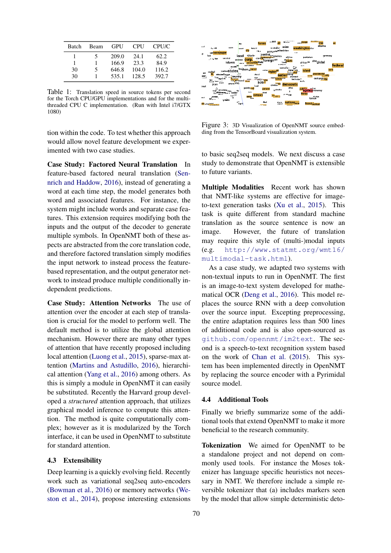| Batch | Beam | GPU   | CPU   | <b>CPU/C</b> |
|-------|------|-------|-------|--------------|
|       | ╮    | 209.0 | 24.1  | 62.2         |
|       |      | 166.9 | 23.3  | 84.9         |
| 30    | 5    | 646.8 | 104.0 | 116.2        |
| 30    |      | 535.1 | 128.5 | 392.7        |

Table 1: Translation speed in source tokens per second for the Torch CPU/GPU implementations and for the multithreaded CPU C implementation. (Run with Intel i7/GTX 1080)

tion within the code. To test whether this approach would allow novel feature development we experimented with two case studies.

Case Study: Factored Neural Translation In feature-based factored neural translation (Sennrich and Haddow, 2016), instead of generating a word at each time step, the model generates both word and associated features. For instance, the system might include words and separate case features. This extension requires modifying both the inputs and the output of the decoder to generate multiple symbols. In OpenNMT both of these aspects are abstracted from the core translation code, and therefore factored translation simply modifies the input network to instead process the featurebased representation, and the output generator network to instead produce multiple conditionally independent predictions.

Case Study: Attention Networks The use of attention over the encoder at each step of translation is crucial for the model to perform well. The default method is to utilize the global attention mechanism. However there are many other types of attention that have recently proposed including local attention (Luong et al., 2015), sparse-max attention (Martins and Astudillo, 2016), hierarchical attention (Yang et al., 2016) among others. As this is simply a module in OpenNMT it can easily be substituted. Recently the Harvard group developed a *structured* attention approach, that utilizes graphical model inference to compute this attention. The method is quite computationally complex; however as it is modularized by the Torch interface, it can be used in OpenNMT to substitute for standard attention.

## 4.3 Extensibility

Deep learning is a quickly evolving field. Recently work such as variational seq2seq auto-encoders (Bowman et al., 2016) or memory networks (Weston et al., 2014), propose interesting extensions



Figure 3: 3D Visualization of OpenNMT source embedding from the TensorBoard visualization system.

to basic seq2seq models. We next discuss a case study to demonstrate that OpenNMT is extensible to future variants.

Multiple Modalities Recent work has shown that NMT-like systems are effective for imageto-text generation tasks (Xu et al., 2015). This task is quite different from standard machine translation as the source sentence is now an image. However, the future of translation may require this style of (multi-)modal inputs (e.g. http://www.statmt.org/wmt16/ multimodal-task.html).

As a case study, we adapted two systems with non-textual inputs to run in OpenNMT. The first is an image-to-text system developed for mathematical OCR (Deng et al., 2016). This model replaces the source RNN with a deep convolution over the source input. Excepting preprocessing, the entire adaptation requires less than 500 lines of additional code and is also open-sourced as github.com/opennmt/im2text. The second is a speech-to-text recognition system based on the work of Chan et al. (2015). This system has been implemented directly in OpenNMT by replacing the source encoder with a Pyrimidal source model.

# 4.4 Additional Tools

Finally we briefly summarize some of the additional tools that extend OpenNMT to make it more beneficial to the research community.

Tokenization We aimed for OpenNMT to be a standalone project and not depend on commonly used tools. For instance the Moses tokenizer has language specific heuristics not necessary in NMT. We therefore include a simple reversible tokenizer that (a) includes markers seen by the model that allow simple deterministic deto-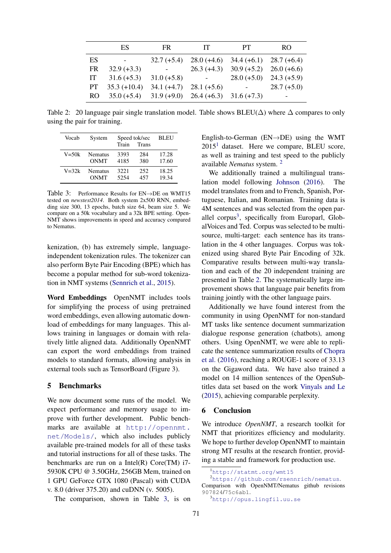|     | ES               | $\mathop{\mathrm{FR}}$                                  | <b>IT</b>                | PT.                                               | RO.           |
|-----|------------------|---------------------------------------------------------|--------------------------|---------------------------------------------------|---------------|
| ES  | $\sim$ 100 $\mu$ |                                                         |                          | $32.7 (+5.4) 28.0 (+4.6) 34.4 (+6.1) 28.7 (+6.4)$ |               |
| FR. | $32.9 (+3.3)$    | $\sim 100$                                              |                          | $26.3 (+4.3)$ $30.9 (+5.2)$ $26.0 (+6.6)$         |               |
| IT  | $31.6 (+5.3)$    | $31.0 (+5.8)$                                           | <b>Contract Contract</b> | $28.0 (+5.0)$ $24.3 (+5.9)$                       |               |
| PT. | $35.3 (+10.4)$   | $34.1 (+4.7)$ $28.1 (+5.6)$                             |                          | $\omega_{\rm{max}}$                               | $28.7 (+5.0)$ |
| RO. |                  | $35.0 (+5.4)$ $31.9 (+9.0)$ $26.4 (+6.3)$ $31.6 (+7.3)$ |                          |                                                   |               |

Table 2: 20 language pair single translation model. Table shows BLEU( $\Delta$ ) where  $\Delta$  compares to only using the pair for training.

| Vocab     | System      | Speed tok/sec<br>Train<br><b>Trans</b> |     | <b>BLEU</b> |
|-----------|-------------|----------------------------------------|-----|-------------|
| $V = 50k$ | Nematus     | 3393                                   | 284 | 17.28       |
|           | <b>ONMT</b> | 4185                                   | 380 | 17.60       |
| $V = 32k$ | Nematus     | 3221                                   | 252 | 18.25       |
|           | <b>ONMT</b> | 5254                                   | 457 | 19.34       |

Table 3: Performance Results for EN→DE on WMT15 tested on *newstest2014*. Both system 2x500 RNN, embedding size 300, 13 epochs, batch size 64, beam size 5. We compare on a 50k vocabulary and a 32k BPE setting. Open-NMT shows improvements in speed and accuracy compared to Nematus.

kenization, (b) has extremely simple, languageindependent tokenization rules. The tokenizer can also perform Byte Pair Encoding (BPE) which has become a popular method for sub-word tokenization in NMT systems (Sennrich et al., 2015).

Word Embeddings OpenNMT includes tools for simplifying the process of using pretrained word embeddings, even allowing automatic download of embeddings for many languages. This allows training in languages or domain with relatively little aligned data. Additionally OpenNMT can export the word embeddings from trained models to standard formats, allowing analysis in external tools such as TensorBoard (Figure 3).

# 5 Benchmarks

We now document some runs of the model. We expect performance and memory usage to improve with further development. Public benchmarks are available at http://opennmt. net/Models/, which also includes publicly available pre-trained models for all of these tasks and tutorial instructions for all of these tasks. The benchmarks are run on a Intel(R) Core(TM) i7- 5930K CPU @ 3.50GHz, 256GB Mem, trained on 1 GPU GeForce GTX 1080 (Pascal) with CUDA v. 8.0 (driver 375.20) and cuDNN (v. 5005).

The comparison, shown in Table 3, is on

English-to-German (EN→DE) using the WMT  $2015<sup>1</sup>$  dataset. Here we compare, BLEU score, as well as training and test speed to the publicly available *Nematus* system. <sup>2</sup>

We additionally trained a multilingual translation model following Johnson (2016). The model translates from and to French, Spanish, Portuguese, Italian, and Romanian. Training data is 4M sentences and was selected from the open parallel corpus<sup>3</sup>, specifically from Europarl, GlobalVoices and Ted. Corpus was selected to be multisource, multi-target: each sentence has its translation in the 4 other languages. Corpus was tokenized using shared Byte Pair Encoding of 32k. Comparative results between multi-way translation and each of the 20 independent training are presented in Table 2. The systematically large improvement shows that language pair benefits from training jointly with the other language pairs.

Additionally we have found interest from the community in using OpenNMT for non-standard MT tasks like sentence document summarization dialogue response generation (chatbots), among others. Using OpenNMT, we were able to replicate the sentence summarization results of Chopra et al. (2016), reaching a ROUGE-1 score of 33.13 on the Gigaword data. We have also trained a model on 14 million sentences of the OpenSubtitles data set based on the work Vinyals and Le (2015), achieving comparable perplexity.

## 6 Conclusion

We introduce *OpenNMT*, a research toolkit for NMT that prioritizes efficiency and modularity. We hope to further develop OpenNMT to maintain strong MT results at the research frontier, providing a stable and framework for production use.

<sup>1</sup>http://statmt.org/wmt15

<sup>2</sup>https://github.com/rsennrich/nematus.

Comparison with OpenNMT/Nematus github revisions 907824/75c6ab1.

<sup>3</sup>http://opus.lingfil.uu.se